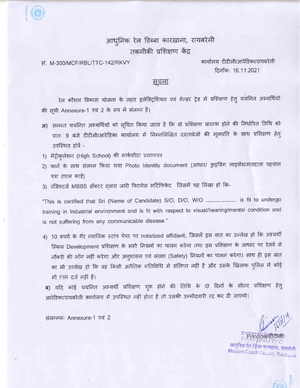आधुनिक रेल डिब्बा कारख़ाना, रायबरेली तकनीकी प्रशिक्षण केंद्र

ਸ਼ਂ M-300/MCF/RBL/TTC-142/RKVY

कार्यालय टीटीसी/आरेडिका/रायबरेली दिनाँक: 16.11.2021

## <u>सचना</u>

रेल कौशल विकास योजना के तहत इलेक्ट्रिशियन एवं वेल्डर ट्रेड में प्रशिक्षण हेतु चयनित अभ्यर्थियों की सूची Annexure-1 एवं 2 के रूप में संलग्न है।

- 31) समस्त चयनित अभ्यर्थियों को सूचित किया जाता है कि वो प्रशिक्षण प्रारम्भ होने की निर्धारित तिथि को प्रातः 9 बजे टीटीसी/आरेडिका कार्यालय में निम्नलिखित दस्तावेजों की मूलप्रति के साथ प्रशिक्षण हेत् उपस्थित होवें -
- 1) मैट्रीकुलेशन (High School) की मार्कशीट/ प्रमाणपत्र
- 2) फार्म के साथ संलग्न किया गया Photo Identity document (आधार/ ड्राइविंग लाइसेंस/मतदाता पहचान पत्र/ राशन कार्ड)
- 3) रजिस्टर्ज MBBS डॉक्टर दवारा जारी फिटनेस सर्टिफिकेट जिसमें यह लिखा हो कि-

training in Industrial environment and is fit with respect to visual/hearing/mental condition and is not suffering from any communicable disease."

4) 10 रूपये के गैर न्यायिक स्टांप पेपर पर notarized affidavit, जिसमें इस बात का उल्लेख हो कि अभ्यर्थी स्किल Development प्रशिक्षण के सभी नियमों का पालन करेगा तथा इस प्रशिक्षण के आधार पर रेलवे से नौकरी की माँग नहीं करेगा और अनुशासन एवं संरक्षा (Safety) नियमों का पालन करेगा। साथ ही इस बात का भी उल्लेख हो कि वह किसी अनैतिक गतिविधि में संलिप्त नहीं है और उसके खिलाफ पुलिस में कोई भी FIR दर्ज नहीं है।

ब) यदि कोई चयनित अभ्यर्थी प्रशिक्षण शुरू होने की तिथि के दो दिनों के भीतर प्रशिक्षण हेतु आरेडिका/रायबरेली कार्यालय में उपस्थित नहीं होता है तो उसकी उम्मीदवारी रद्द कर दी जाएगी।

संलग्नक: Annexure-1 एवं 2

आधुनिक रेल बि Modern Coach Factory, Raeballeli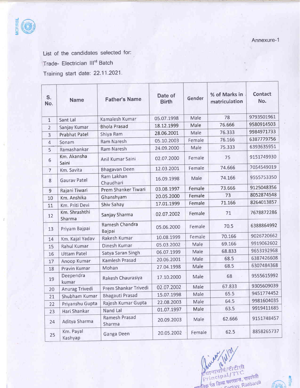

List of the candidates selected for:

Trade- Electrician lll'd Batch

Training start date: 22.11.2021'

| S.<br>No.      | <b>Name</b>             | <b>Father's Name</b>     | Date of<br><b>Birth</b> | Gender | % of Marks in<br>matriculation | <b>Contact</b><br>No. |
|----------------|-------------------------|--------------------------|-------------------------|--------|--------------------------------|-----------------------|
| $1\,$          | Sant Lal                | Kamalesh Kumar           | 05.07.1998              | Male   | 78                             | 9793501961            |
| $\overline{2}$ | Sanjay Kumar            | <b>Bhola Prasad</b>      | 18.12.1999              | Male   | 76.666                         | 9580914503            |
| 3              | <b>Prabhat Patel</b>    | Shiya Ram                | 28.06.2001              | Male   | 76.333                         | 9984971733            |
| 4              | Sonam                   | <b>Ram Naresh</b>        | 05.10.2003              | Female | 76.166                         | 6387779756            |
| 5              | Ramashankar             | <b>Ram Naresh</b>        | 24.09.2000              | Male   | 75.333                         | 6393635951            |
| 6              | Km. Akansha<br>Saini    | Anil Kumar Saini         | 02.07.2000              | Female | 75                             | 9151749930            |
| $\overline{7}$ | Km. Savita              | <b>Bhagavan Deen</b>     | 12.03.2001              | Female | 74.666                         | 7054549019            |
| $\bf 8$        | <b>Gaurav Patel</b>     | Ram Lakhan<br>Chaudhari  | 16.09.1998              | Male   | 74.166                         | 9555753350            |
| $9\,$          | Rajani Tiwari           | Prem Shanker Tiwari      | 03.08.1997              | Female | 73.666                         | 9125048356            |
| 10             | Km. Anshika             | Ghanshyam                | 20.05.2000              | Female | 73                             | 8052874548            |
| 11             | Km. Priti Devi          | Shiv Sahay               | 17.01.1999              | Female | 71.166                         | 8264013857            |
| 12             | Km. Shrashthi<br>Sharma | Sanjay Sharma            | 02.07.2002              | Female | 71                             | 7678872286            |
| 13             | Priyam Bajpai           | Ramesh Chandra<br>Bajpai | 05.06.2000              | Female | 70.5                           | 6388864992            |
| 14             | Km. Kajal Yadav         | Rakesh Kumar             | 10.08.1999              | Female | 70.166                         | 9026720662            |
| 15             | Rahul Kumar             | Dinesh Kumar             | 05.03.2002              | Male   | 69.166                         | 9919062602            |
| 16             | <b>Uttam Patel</b>      | Satya Saran Singh        | 06.07.1999              | Male   | 68.833                         | 9653192968            |
| 17             | Anoop Kumar             | Kamlesh Prasad           | 20.06.2001              | Male   | 68.5                           | 6387426608            |
| 18             | Pravin Kumar            | Mohan                    | 27.04.1998              | Male   | 68.5                           | 6307484368            |
| 19             | Deependra<br>kumar      | Rakesh Chaurasiya        | 17.10.2000              | Male   | 68                             | 9555615992            |
| 20             | Anurag Trivedi          | Prem Shankar Trivedi     | 02.07.2002              | Male   | 67.833                         | 9305609039            |
| 21             | Shubham Kumar           | <b>Bhagauti Prasad</b>   | 15.07.1998              | Male   | 65.5                           | 9451774452            |
| 22             | Priyanshu Gupta         | Rajesh Kumar Gupta       | 22.08.2003              | Male   | 64.5                           | 9981604035            |
| 23             | Hari Shankar            | Nand Lal                 | 01.07.1997              | Male   | 63.5                           | 9919411685            |
| 24             | Aditya Sharma           | Ramesh Prasad<br>Sharma  | 20.09.2003              | Male   | 62.666                         | 9151748457            |
| 25             | Km. Payal<br>Kashyap    | Ganga Deen               | 20.05.2002              | Female | 62.5                           | 8858265737            |



t ;]ir

 $\mathscr{C} \rightarrow \mathbb{R}$ .,